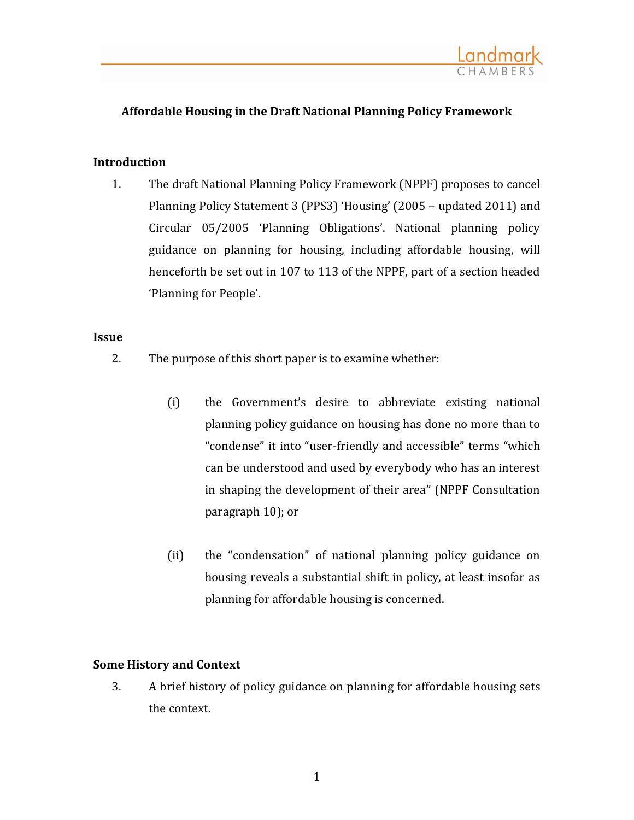

# **Affordable Housing in the Draft National Planning Policy Framework**

### **Introduction**

1. The draft National Planning Policy Framework (NPPF) proposes to cancel Planning Policy Statement 3 (PPS3) 'Housing' (2005 – updated 2011) and Circular 05/2005 'Planning Obligations'. National planning policy guidance on planning for housing, including affordable housing, will henceforth be set out in 107 to 113 of the NPPF, part of a section headed 'Planning for People'.

## **Issue**

- 2. The purpose of this short paper is to examine whether:
	- (i) the Government's desire to abbreviate existing national planning policy guidance on housing has done no more than to "condense" it into "user-friendly and accessible" terms "which can be understood and used by everybody who has an interest in shaping the development of their area" (NPPF Consultation paragraph 10); or
	- (ii) the "condensation" of national planning policy guidance on housing reveals a substantial shift in policy, at least insofar as planning for affordable housing is concerned.

### **Some History and Context**

3. A brief history of policy guidance on planning for affordable housing sets the context.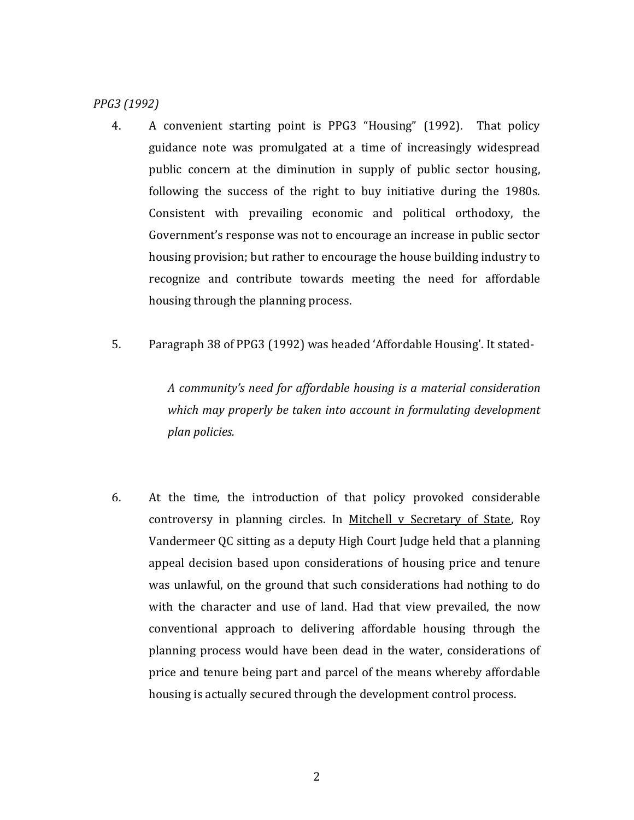*PPG3 (1992)*

- 4. A convenient starting point is PPG3 "Housing" (1992). That policy guidance note was promulgated at a time of increasingly widespread public concern at the diminution in supply of public sector housing, following the success of the right to buy initiative during the 1980s. Consistent with prevailing economic and political orthodoxy, the Government's response was not to encourage an increase in public sector housing provision; but rather to encourage the house building industry to recognize and contribute towards meeting the need for affordable housing through the planning process.
- 5. Paragraph 38 of PPG3 (1992) was headed 'Affordable Housing'. It stated-

*A community's need for affordable housing is a material consideration which may properly be taken into account in formulating development plan policies.* 

6. At the time, the introduction of that policy provoked considerable controversy in planning circles. In Mitchell v Secretary of State, Roy Vandermeer QC sitting as a deputy High Court Judge held that a planning appeal decision based upon considerations of housing price and tenure was unlawful, on the ground that such considerations had nothing to do with the character and use of land. Had that view prevailed, the now conventional approach to delivering affordable housing through the planning process would have been dead in the water, considerations of price and tenure being part and parcel of the means whereby affordable housing is actually secured through the development control process.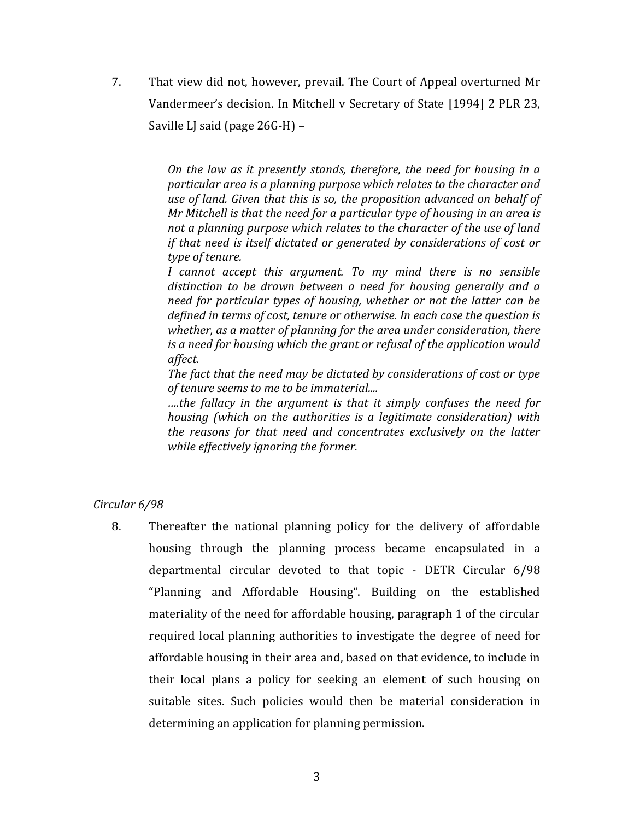7. That view did not, however, prevail. The Court of Appeal overturned Mr Vandermeer's decision. In Mitchell v Secretary of State [1994] 2 PLR 23, Saville LJ said (page 26G-H) –

> *On the law as it presently stands, therefore, the need for housing in a particular area is a planning purpose which relates to the character and use of land. Given that this is so, the proposition advanced on behalf of Mr Mitchell is that the need for a particular type of housing in an area is not a planning purpose which relates to the character of the use of land if that need is itself dictated or generated by considerations of cost or type of tenure.*

> *I cannot accept this argument. To my mind there is no sensible distinction to be drawn between a need for housing generally and a need for particular types of housing, whether or not the latter can be defined in terms of cost, tenure or otherwise. In each case the question is whether, as a matter of planning for the area under consideration, there is a need for housing which the grant or refusal of the application would affect.*

> *The fact that the need may be dictated by considerations of cost or type of tenure seems to me to be immaterial....*

> *….the fallacy in the argument is that it simply confuses the need for housing (which on the authorities is a legitimate consideration) with the reasons for that need and concentrates exclusively on the latter while effectively ignoring the former.*

## *Circular 6/98*

8. Thereafter the national planning policy for the delivery of affordable housing through the planning process became encapsulated in a departmental circular devoted to that topic - DETR Circular 6/98 "Planning and Affordable Housing". Building on the established materiality of the need for affordable housing, paragraph 1 of the circular required local planning authorities to investigate the degree of need for affordable housing in their area and, based on that evidence, to include in their local plans a policy for seeking an element of such housing on suitable sites. Such policies would then be material consideration in determining an application for planning permission.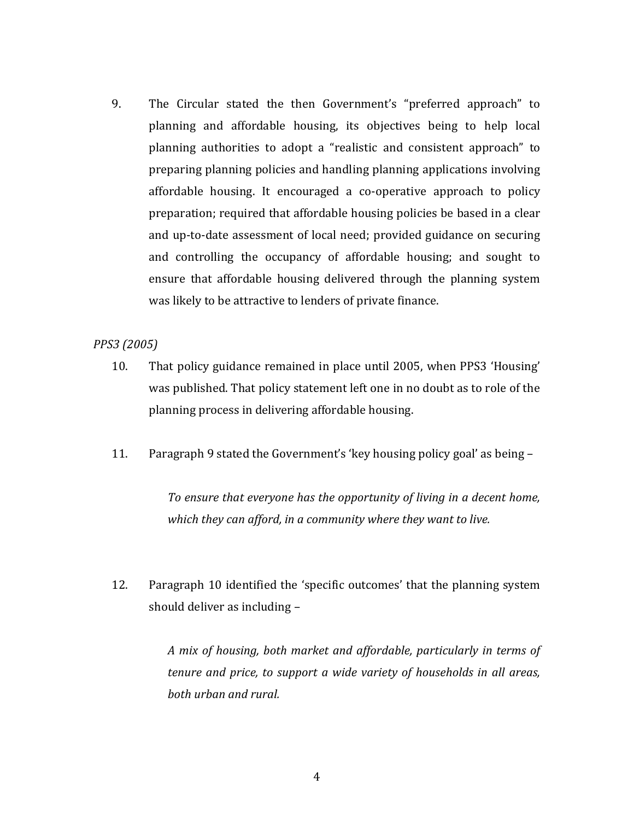9. The Circular stated the then Government's "preferred approach" to planning and affordable housing, its objectives being to help local planning authorities to adopt a "realistic and consistent approach" to preparing planning policies and handling planning applications involving affordable housing. It encouraged a co-operative approach to policy preparation; required that affordable housing policies be based in a clear and up-to-date assessment of local need; provided guidance on securing and controlling the occupancy of affordable housing; and sought to ensure that affordable housing delivered through the planning system was likely to be attractive to lenders of private finance.

## *PPS3 (2005)*

- 10. That policy guidance remained in place until 2005, when PPS3 'Housing' was published. That policy statement left one in no doubt as to role of the planning process in delivering affordable housing.
- 11. Paragraph 9 stated the Government's 'key housing policy goal' as being –

*To ensure that everyone has the opportunity of living in a decent home, which they can afford, in a community where they want to live.*

12. Paragraph 10 identified the 'specific outcomes' that the planning system should deliver as including –

> *A mix of housing, both market and affordable, particularly in terms of tenure and price, to support a wide variety of households in all areas, both urban and rural.*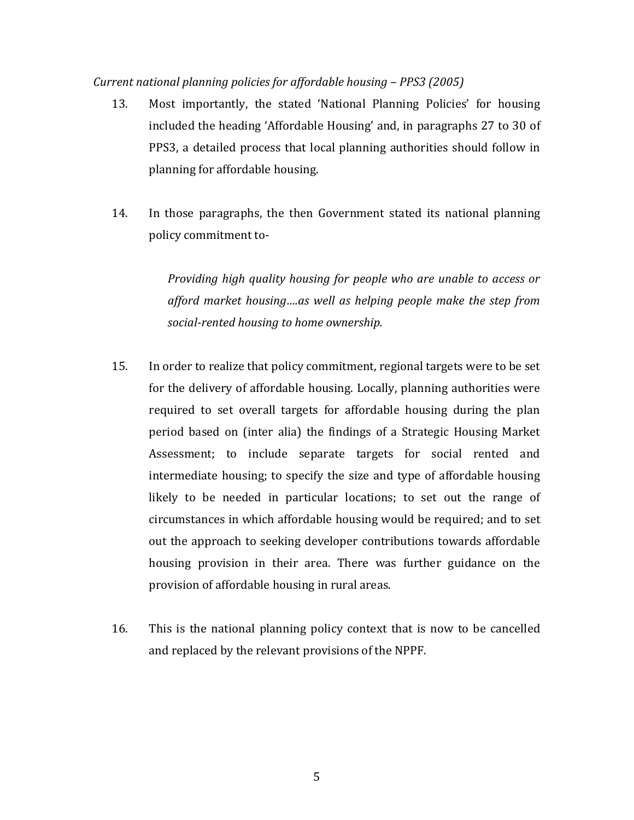### *Current national planning policies for affordable housing – PPS3 (2005)*

- 13. Most importantly, the stated 'National Planning Policies' for housing included the heading 'Affordable Housing' and, in paragraphs 27 to 30 of PPS3, a detailed process that local planning authorities should follow in planning for affordable housing.
- 14. In those paragraphs, the then Government stated its national planning policy commitment to-

*Providing high quality housing for people who are unable to access or afford market housing….as well as helping people make the step from social-rented housing to home ownership.*

- 15. In order to realize that policy commitment, regional targets were to be set for the delivery of affordable housing. Locally, planning authorities were required to set overall targets for affordable housing during the plan period based on (inter alia) the findings of a Strategic Housing Market Assessment; to include separate targets for social rented and intermediate housing; to specify the size and type of affordable housing likely to be needed in particular locations; to set out the range of circumstances in which affordable housing would be required; and to set out the approach to seeking developer contributions towards affordable housing provision in their area. There was further guidance on the provision of affordable housing in rural areas.
- 16. This is the national planning policy context that is now to be cancelled and replaced by the relevant provisions of the NPPF.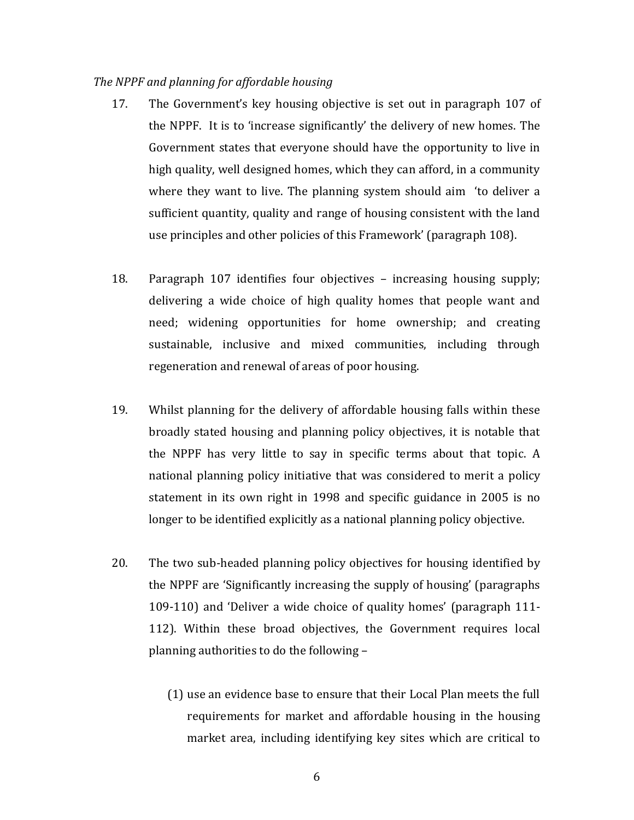#### *The NPPF and planning for affordable housing*

- 17. The Government's key housing objective is set out in paragraph 107 of the NPPF. It is to 'increase significantly' the delivery of new homes. The Government states that everyone should have the opportunity to live in high quality, well designed homes, which they can afford, in a community where they want to live. The planning system should aim 'to deliver a sufficient quantity, quality and range of housing consistent with the land use principles and other policies of this Framework' (paragraph 108).
- 18. Paragraph 107 identifies four objectives increasing housing supply; delivering a wide choice of high quality homes that people want and need; widening opportunities for home ownership; and creating sustainable, inclusive and mixed communities, including through regeneration and renewal of areas of poor housing.
- 19. Whilst planning for the delivery of affordable housing falls within these broadly stated housing and planning policy objectives, it is notable that the NPPF has very little to say in specific terms about that topic. A national planning policy initiative that was considered to merit a policy statement in its own right in 1998 and specific guidance in 2005 is no longer to be identified explicitly as a national planning policy objective.
- 20. The two sub-headed planning policy objectives for housing identified by the NPPF are 'Significantly increasing the supply of housing' (paragraphs 109-110) and 'Deliver a wide choice of quality homes' (paragraph 111- 112). Within these broad objectives, the Government requires local planning authorities to do the following –
	- (1) use an evidence base to ensure that their Local Plan meets the full requirements for market and affordable housing in the housing market area, including identifying key sites which are critical to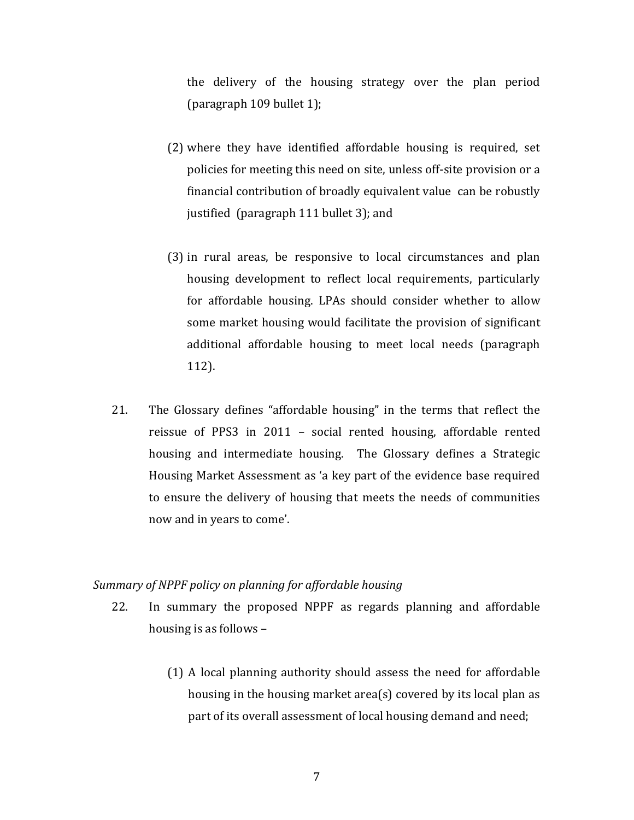the delivery of the housing strategy over the plan period (paragraph 109 bullet 1);

- (2) where they have identified affordable housing is required, set policies for meeting this need on site, unless off-site provision or a financial contribution of broadly equivalent value can be robustly justified (paragraph 111 bullet 3); and
- (3) in rural areas, be responsive to local circumstances and plan housing development to reflect local requirements, particularly for affordable housing. LPAs should consider whether to allow some market housing would facilitate the provision of significant additional affordable housing to meet local needs (paragraph 112).
- 21. The Glossary defines "affordable housing" in the terms that reflect the reissue of PPS3 in 2011 – social rented housing, affordable rented housing and intermediate housing. The Glossary defines a Strategic Housing Market Assessment as 'a key part of the evidence base required to ensure the delivery of housing that meets the needs of communities now and in years to come'.

#### *Summary of NPPF policy on planning for affordable housing*

- 22. In summary the proposed NPPF as regards planning and affordable housing is as follows –
	- (1) A local planning authority should assess the need for affordable housing in the housing market area(s) covered by its local plan as part of its overall assessment of local housing demand and need;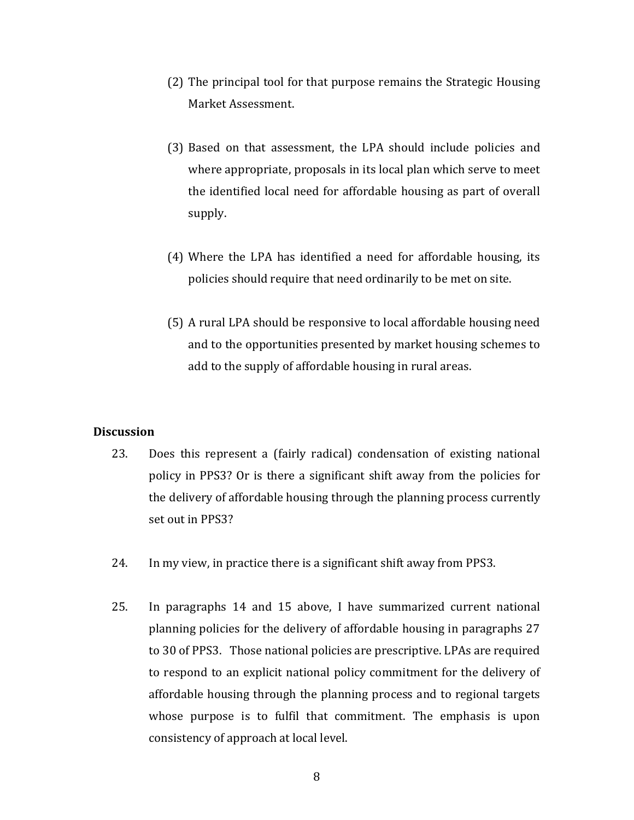- (2) The principal tool for that purpose remains the Strategic Housing Market Assessment.
- (3) Based on that assessment, the LPA should include policies and where appropriate, proposals in its local plan which serve to meet the identified local need for affordable housing as part of overall supply.
- (4) Where the LPA has identified a need for affordable housing, its policies should require that need ordinarily to be met on site.
- (5) A rural LPA should be responsive to local affordable housing need and to the opportunities presented by market housing schemes to add to the supply of affordable housing in rural areas.

#### **Discussion**

- 23. Does this represent a (fairly radical) condensation of existing national policy in PPS3? Or is there a significant shift away from the policies for the delivery of affordable housing through the planning process currently set out in PPS3?
- 24. In my view, in practice there is a significant shift away from PPS3.
- 25. In paragraphs 14 and 15 above, I have summarized current national planning policies for the delivery of affordable housing in paragraphs 27 to 30 of PPS3. Those national policies are prescriptive. LPAs are required to respond to an explicit national policy commitment for the delivery of affordable housing through the planning process and to regional targets whose purpose is to fulfil that commitment. The emphasis is upon consistency of approach at local level.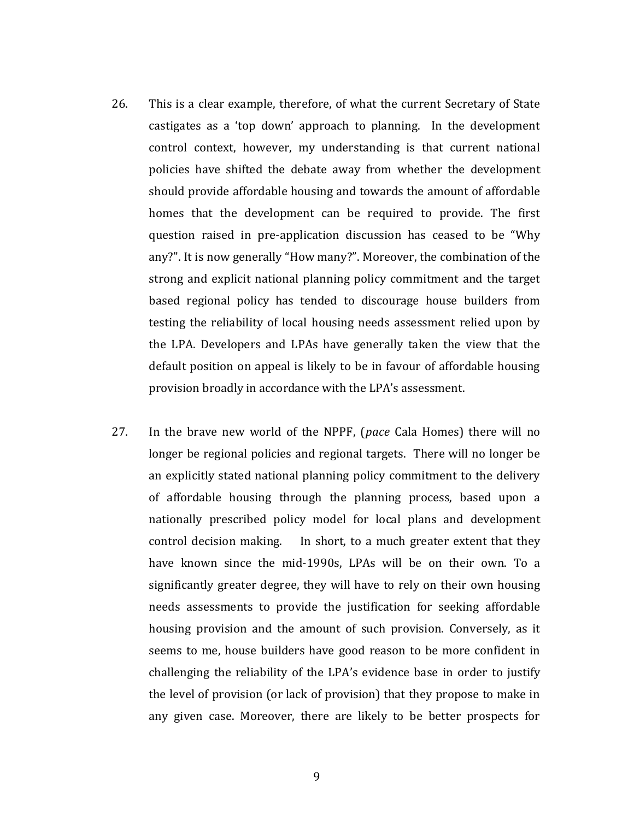- 26. This is a clear example, therefore, of what the current Secretary of State castigates as a 'top down' approach to planning. In the development control context, however, my understanding is that current national policies have shifted the debate away from whether the development should provide affordable housing and towards the amount of affordable homes that the development can be required to provide. The first question raised in pre-application discussion has ceased to be "Why any?". It is now generally "How many?". Moreover, the combination of the strong and explicit national planning policy commitment and the target based regional policy has tended to discourage house builders from testing the reliability of local housing needs assessment relied upon by the LPA. Developers and LPAs have generally taken the view that the default position on appeal is likely to be in favour of affordable housing provision broadly in accordance with the LPA's assessment.
- 27. In the brave new world of the NPPF, (*pace* Cala Homes) there will no longer be regional policies and regional targets. There will no longer be an explicitly stated national planning policy commitment to the delivery of affordable housing through the planning process, based upon a nationally prescribed policy model for local plans and development control decision making. In short, to a much greater extent that they have known since the mid-1990s, LPAs will be on their own. To a significantly greater degree, they will have to rely on their own housing needs assessments to provide the justification for seeking affordable housing provision and the amount of such provision. Conversely, as it seems to me, house builders have good reason to be more confident in challenging the reliability of the LPA's evidence base in order to justify the level of provision (or lack of provision) that they propose to make in any given case. Moreover, there are likely to be better prospects for